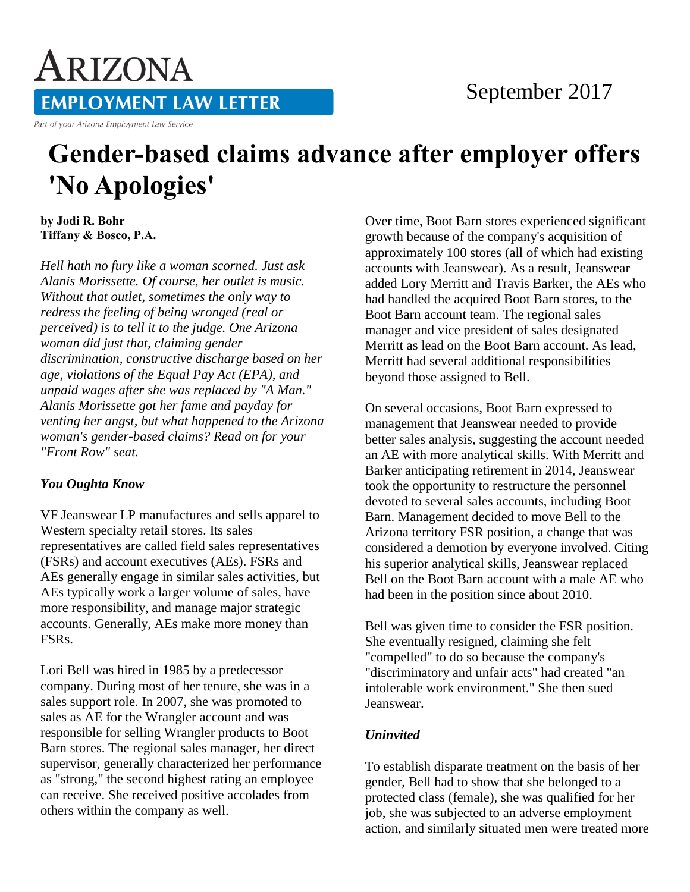# ARIZONA **EMPLOYMENT LAW LETTER**

#### Part of your Arizona Employment Law Service

### September 2017

## **Gender-based claims advance after employer offers 'No Apologies'**

**by Jodi R. Bohr Tiffany & Bosco, P.A.** 

*Hell hath no fury like a woman scorned. Just ask Alanis Morissette. Of course, her outlet is music. Without that outlet, sometimes the only way to redress the feeling of being wronged (real or perceived) is to tell it to the judge. One Arizona woman did just that, claiming gender discrimination, constructive discharge based on her age, violations of the Equal Pay Act (EPA), and unpaid wages after she was replaced by "A Man." Alanis Morissette got her fame and payday for venting her angst, but what happened to the Arizona woman's gender-based claims? Read on for your "Front Row" seat.*

#### *You Oughta Know*

VF Jeanswear LP manufactures and sells apparel to Western specialty retail stores. Its sales representatives are called field sales representatives (FSRs) and account executives (AEs). FSRs and AEs generally engage in similar sales activities, but AEs typically work a larger volume of sales, have more responsibility, and manage major strategic accounts. Generally, AEs make more money than FSRs.

Lori Bell was hired in 1985 by a predecessor company. During most of her tenure, she was in a sales support role. In 2007, she was promoted to sales as AE for the Wrangler account and was responsible for selling Wrangler products to Boot Barn stores. The regional sales manager, her direct supervisor, generally characterized her performance as "strong," the second highest rating an employee can receive. She received positive accolades from others within the company as well.

Over time, Boot Barn stores experienced significant growth because of the company's acquisition of approximately 100 stores (all of which had existing accounts with Jeanswear). As a result, Jeanswear added Lory Merritt and Travis Barker, the AEs who had handled the acquired Boot Barn stores, to the Boot Barn account team. The regional sales manager and vice president of sales designated Merritt as lead on the Boot Barn account. As lead, Merritt had several additional responsibilities beyond those assigned to Bell.

On several occasions, Boot Barn expressed to management that Jeanswear needed to provide better sales analysis, suggesting the account needed an AE with more analytical skills. With Merritt and Barker anticipating retirement in 2014, Jeanswear took the opportunity to restructure the personnel devoted to several sales accounts, including Boot Barn. Management decided to move Bell to the Arizona territory FSR position, a change that was considered a demotion by everyone involved. Citing his superior analytical skills, Jeanswear replaced Bell on the Boot Barn account with a male AE who had been in the position since about 2010.

Bell was given time to consider the FSR position. She eventually resigned, claiming she felt "compelled" to do so because the company's "discriminatory and unfair acts" had created "an intolerable work environment." She then sued Jeanswear.

#### *Uninvited*

To establish disparate treatment on the basis of her gender, Bell had to show that she belonged to a protected class (female), she was qualified for her job, she was subjected to an adverse employment action, and similarly situated men were treated more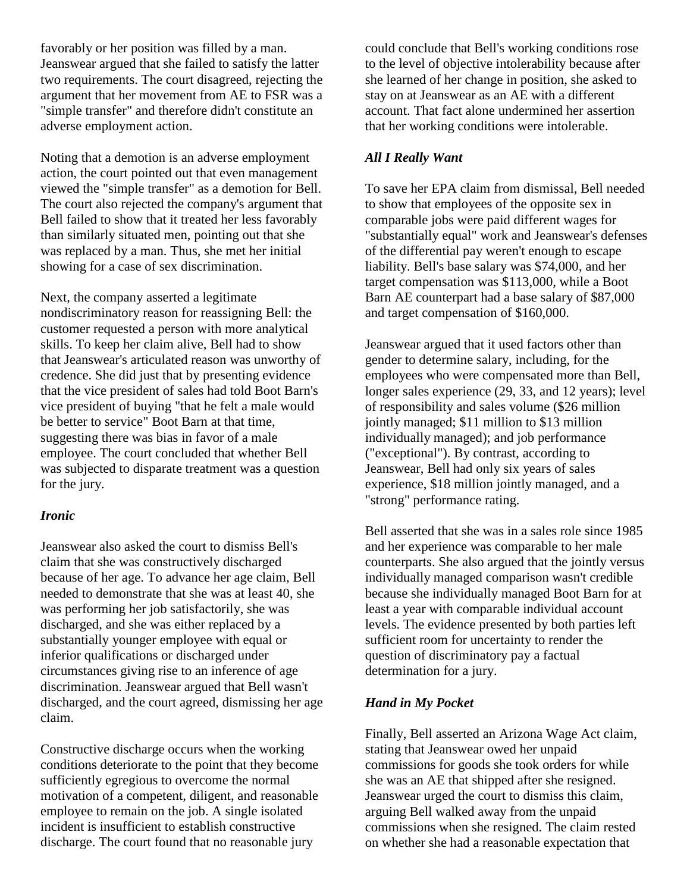favorably or her position was filled by a man. Jeanswear argued that she failed to satisfy the latter two requirements. The court disagreed, rejecting the argument that her movement from AE to FSR was a "simple transfer" and therefore didn't constitute an adverse employment action.

Noting that a demotion is an adverse employment action, the court pointed out that even management viewed the "simple transfer" as a demotion for Bell. The court also rejected the company's argument that Bell failed to show that it treated her less favorably than similarly situated men, pointing out that she was replaced by a man. Thus, she met her initial showing for a case of sex discrimination.

Next, the company asserted a legitimate nondiscriminatory reason for reassigning Bell: the customer requested a person with more analytical skills. To keep her claim alive, Bell had to show that Jeanswear's articulated reason was unworthy of credence. She did just that by presenting evidence that the vice president of sales had told Boot Barn's vice president of buying "that he felt a male would be better to service" Boot Barn at that time, suggesting there was bias in favor of a male employee. The court concluded that whether Bell was subjected to disparate treatment was a question for the jury.

#### *Ironic*

Jeanswear also asked the court to dismiss Bell's claim that she was constructively discharged because of her age. To advance her age claim, Bell needed to demonstrate that she was at least 40, she was performing her job satisfactorily, she was discharged, and she was either replaced by a substantially younger employee with equal or inferior qualifications or discharged under circumstances giving rise to an inference of age discrimination. Jeanswear argued that Bell wasn't discharged, and the court agreed, dismissing her age claim.

Constructive discharge occurs when the working conditions deteriorate to the point that they become sufficiently egregious to overcome the normal motivation of a competent, diligent, and reasonable employee to remain on the job. A single isolated incident is insufficient to establish constructive discharge. The court found that no reasonable jury

could conclude that Bell's working conditions rose to the level of objective intolerability because after she learned of her change in position, she asked to stay on at Jeanswear as an AE with a different account. That fact alone undermined her assertion that her working conditions were intolerable.

#### *All I Really Want*

To save her EPA claim from dismissal, Bell needed to show that employees of the opposite sex in comparable jobs were paid different wages for "substantially equal" work and Jeanswear's defenses of the differential pay weren't enough to escape liability. Bell's base salary was \$74,000, and her target compensation was \$113,000, while a Boot Barn AE counterpart had a base salary of \$87,000 and target compensation of \$160,000.

Jeanswear argued that it used factors other than gender to determine salary, including, for the employees who were compensated more than Bell, longer sales experience (29, 33, and 12 years); level of responsibility and sales volume (\$26 million jointly managed; \$11 million to \$13 million individually managed); and job performance ("exceptional"). By contrast, according to Jeanswear, Bell had only six years of sales experience, \$18 million jointly managed, and a "strong" performance rating.

Bell asserted that she was in a sales role since 1985 and her experience was comparable to her male counterparts. She also argued that the jointly versus individually managed comparison wasn't credible because she individually managed Boot Barn for at least a year with comparable individual account levels. The evidence presented by both parties left sufficient room for uncertainty to render the question of discriminatory pay a factual determination for a jury.

#### *Hand in My Pocket*

Finally, Bell asserted an Arizona Wage Act claim, stating that Jeanswear owed her unpaid commissions for goods she took orders for while she was an AE that shipped after she resigned. Jeanswear urged the court to dismiss this claim, arguing Bell walked away from the unpaid commissions when she resigned. The claim rested on whether she had a reasonable expectation that